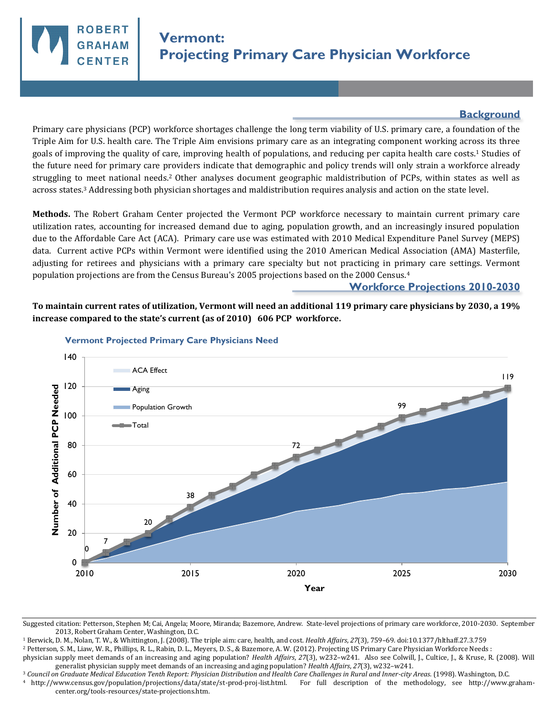

## **Background**

Primary care physicians (PCP) workforce shortages challenge the long term viability of U.S. primary care, a foundation of the Triple Aim for U.S. health care. The Triple Aim envisions primary care as an integrating component working across its three goals of improving the quality of care, improving health of populations, and reducing per capita health care costs.1 Studies of the future need for primary care providers indicate that demographic and policy trends will only strain a workforce already struggling to meet national needs.2 Other analyses document geographic maldistribution of PCPs, within states as well as across states.3 Addressing both physician shortages and maldistribution requires analysis and action on the state level.

**Methods.** The Robert Graham Center projected the Vermont PCP workforce necessary to maintain current primary care utilization rates, accounting for increased demand due to aging, population growth, and an increasingly insured population due to the Affordable Care Act (ACA). Primary care use was estimated with 2010 Medical Expenditure Panel Survey (MEPS) data. Current active PCPs within Vermont were identified using the 2010 American Medical Association (AMA) Masterfile, adjusting for retirees and physicians with a primary care specialty but not practicing in primary care settings. Vermont population projections are from the Census Bureau's 2005 projections based on the 2000 Census.<sup>4</sup>

## **Workforce Projections 2010-2030**

**To maintain current rates of utilization, Vermont will need an additional 119 primary care physicians by 2030, a 19% increase compared to the state's current (as of 2010) 606 PCP workforce.** 



## **Vermont Projected Primary Care Physicians Need**

<sup>1</sup> Berwick, D. M., Nolan, T. W., & Whittington, J. (2008). The triple aim: care, health, and cost. *Health Affairs*, *27*(3), 759–69. doi:10.1377/hlthaff.27.3.759

<sup>2</sup> Petterson, S. M., Liaw, W. R., Phillips, R. L., Rabin, D. L., Meyers, D. S., & Bazemore, A. W. (2012). Projecting US Primary Care Physician Workforce Needs :

physician supply meet demands of an increasing and aging population? *Health Affairs*, *27*(3), w232–w241. Also see Colwill, J., Cultice, J., & Kruse, R. (2008). Will generalist physician supply meet demands of an increasing and aging population? *Health Affairs*, *27*(3), w232–w241.

<sup>3</sup> *Council on Graduate Medical Education Tenth Report: Physician Distribution and Health Care Challenges in Rural and Inner-city Areas*. (1998). Washington, D.C.

<sup>4</sup>http://www.census.gov/population/projections/data/state/st-prod-proj-list.html. For full description of the methodology, see http://www.grahamcenter.org/tools-resources/state-projections.htm.

Suggested citation: Petterson, Stephen M; Cai, Angela; Moore, Miranda; Bazemore, Andrew. State-level projections of primary care workforce, 2010-2030. September 2013, Robert Graham Center, Washington, D.C.